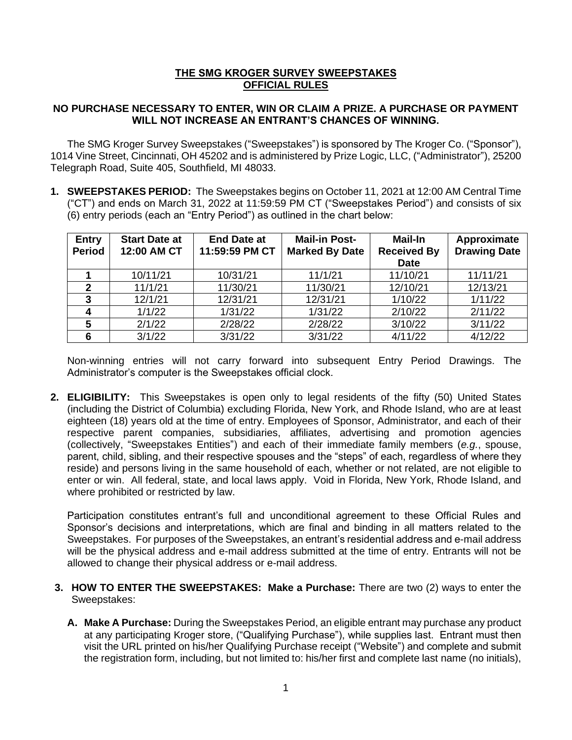## **THE SMG KROGER SURVEY SWEEPSTAKES OFFICIAL RULES**

## **NO PURCHASE NECESSARY TO ENTER, WIN OR CLAIM A PRIZE. A PURCHASE OR PAYMENT WILL NOT INCREASE AN ENTRANT'S CHANCES OF WINNING.**

The SMG Kroger Survey Sweepstakes ("Sweepstakes") is sponsored by The Kroger Co. ("Sponsor"), 1014 Vine Street, Cincinnati, OH 45202 and is administered by Prize Logic, LLC, ("Administrator"), 25200 Telegraph Road, Suite 405, Southfield, MI 48033.

**1. SWEEPSTAKES PERIOD:** The Sweepstakes begins on October 11, 2021 at 12:00 AM Central Time ("CT") and ends on March 31, 2022 at 11:59:59 PM CT ("Sweepstakes Period") and consists of six (6) entry periods (each an "Entry Period") as outlined in the chart below:

| <b>Entry</b><br><b>Period</b> | <b>Start Date at</b><br>12:00 AM CT | <b>End Date at</b><br>11:59:59 PM CT | <b>Mail-in Post-</b><br><b>Marked By Date</b> | <b>Mail-In</b><br><b>Received By</b><br><b>Date</b> | Approximate<br><b>Drawing Date</b> |
|-------------------------------|-------------------------------------|--------------------------------------|-----------------------------------------------|-----------------------------------------------------|------------------------------------|
|                               |                                     |                                      |                                               |                                                     |                                    |
|                               | 10/11/21                            | 10/31/21                             | 11/1/21                                       | 11/10/21                                            | 11/11/21                           |
| $\mathbf{2}$                  | 11/1/21                             | 11/30/21                             | 11/30/21                                      | 12/10/21                                            | 12/13/21                           |
| 3                             | 12/1/21                             | 12/31/21                             | 12/31/21                                      | 1/10/22                                             | 1/11/22                            |
|                               | 1/1/22                              | 1/31/22                              | 1/31/22                                       | 2/10/22                                             | 2/11/22                            |
| 5                             | 2/1/22                              | 2/28/22                              | 2/28/22                                       | 3/10/22                                             | 3/11/22                            |
| 6                             | 3/1/22                              | 3/31/22                              | 3/31/22                                       | 4/11/22                                             | 4/12/22                            |

Non-winning entries will not carry forward into subsequent Entry Period Drawings. The Administrator's computer is the Sweepstakes official clock.

**2. ELIGIBILITY:** This Sweepstakes is open only to legal residents of the fifty (50) United States (including the District of Columbia) excluding Florida, New York, and Rhode Island, who are at least eighteen (18) years old at the time of entry. Employees of Sponsor, Administrator, and each of their respective parent companies, subsidiaries, affiliates, advertising and promotion agencies (collectively, "Sweepstakes Entities") and each of their immediate family members (*e.g.*, spouse, parent, child, sibling, and their respective spouses and the "steps" of each, regardless of where they reside) and persons living in the same household of each, whether or not related, are not eligible to enter or win. All federal, state, and local laws apply. Void in Florida, New York, Rhode Island, and where prohibited or restricted by law.

Participation constitutes entrant's full and unconditional agreement to these Official Rules and Sponsor's decisions and interpretations, which are final and binding in all matters related to the Sweepstakes. For purposes of the Sweepstakes, an entrant's residential address and e-mail address will be the physical address and e-mail address submitted at the time of entry. Entrants will not be allowed to change their physical address or e-mail address.

- **3. HOW TO ENTER THE SWEEPSTAKES: Make a Purchase:** There are two (2) ways to enter the Sweepstakes:
	- **A. Make A Purchase:** During the Sweepstakes Period, an eligible entrant may purchase any product at any participating Kroger store, ("Qualifying Purchase"), while supplies last. Entrant must then visit the URL printed on his/her Qualifying Purchase receipt ("Website") and complete and submit the registration form, including, but not limited to: his/her first and complete last name (no initials),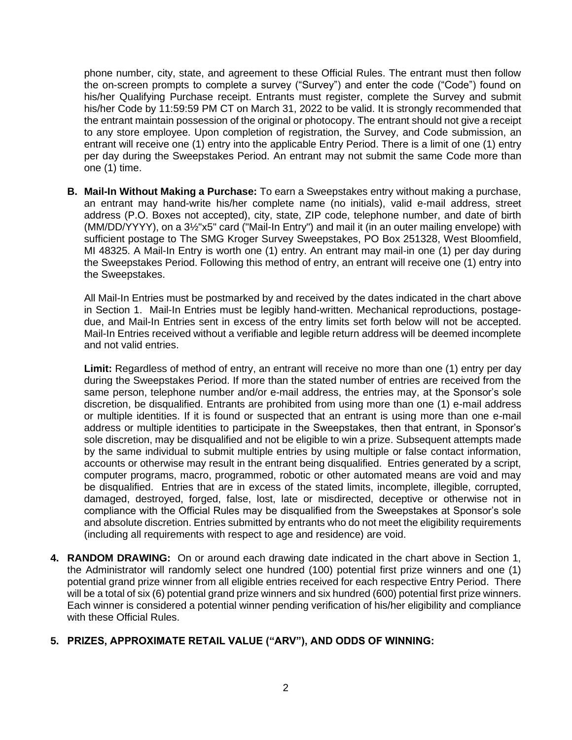phone number, city, state, and agreement to these Official Rules. The entrant must then follow the on-screen prompts to complete a survey ("Survey") and enter the code ("Code") found on his/her Qualifying Purchase receipt. Entrants must register, complete the Survey and submit his/her Code by 11:59:59 PM CT on March 31, 2022 to be valid. It is strongly recommended that the entrant maintain possession of the original or photocopy. The entrant should not give a receipt to any store employee. Upon completion of registration, the Survey, and Code submission, an entrant will receive one (1) entry into the applicable Entry Period. There is a limit of one (1) entry per day during the Sweepstakes Period. An entrant may not submit the same Code more than one (1) time.

**B. Mail-In Without Making a Purchase:** To earn a Sweepstakes entry without making a purchase, an entrant may hand-write his/her complete name (no initials), valid e-mail address, street address (P.O. Boxes not accepted), city, state, ZIP code, telephone number, and date of birth (MM/DD/YYYY), on a 3½"x5" card ("Mail-In Entry") and mail it (in an outer mailing envelope) with sufficient postage to The SMG Kroger Survey Sweepstakes, PO Box 251328, West Bloomfield, MI 48325. A Mail-In Entry is worth one (1) entry. An entrant may mail-in one (1) per day during the Sweepstakes Period. Following this method of entry, an entrant will receive one (1) entry into the Sweepstakes.

All Mail-In Entries must be postmarked by and received by the dates indicated in the chart above in Section 1. Mail-In Entries must be legibly hand-written. Mechanical reproductions, postagedue, and Mail-In Entries sent in excess of the entry limits set forth below will not be accepted. Mail-In Entries received without a verifiable and legible return address will be deemed incomplete and not valid entries.

**Limit:** Regardless of method of entry, an entrant will receive no more than one (1) entry per day during the Sweepstakes Period. If more than the stated number of entries are received from the same person, telephone number and/or e-mail address, the entries may, at the Sponsor's sole discretion, be disqualified. Entrants are prohibited from using more than one (1) e-mail address or multiple identities. If it is found or suspected that an entrant is using more than one e-mail address or multiple identities to participate in the Sweepstakes, then that entrant, in Sponsor's sole discretion, may be disqualified and not be eligible to win a prize. Subsequent attempts made by the same individual to submit multiple entries by using multiple or false contact information, accounts or otherwise may result in the entrant being disqualified. Entries generated by a script, computer programs, macro, programmed, robotic or other automated means are void and may be disqualified. Entries that are in excess of the stated limits, incomplete, illegible, corrupted, damaged, destroyed, forged, false, lost, late or misdirected, deceptive or otherwise not in compliance with the Official Rules may be disqualified from the Sweepstakes at Sponsor's sole and absolute discretion. Entries submitted by entrants who do not meet the eligibility requirements (including all requirements with respect to age and residence) are void.

**4. RANDOM DRAWING:** On or around each drawing date indicated in the chart above in Section 1, the Administrator will randomly select one hundred (100) potential first prize winners and one (1) potential grand prize winner from all eligible entries received for each respective Entry Period. There will be a total of six (6) potential grand prize winners and six hundred (600) potential first prize winners. Each winner is considered a potential winner pending verification of his/her eligibility and compliance with these Official Rules.

## **5. PRIZES, APPROXIMATE RETAIL VALUE ("ARV"), AND ODDS OF WINNING:**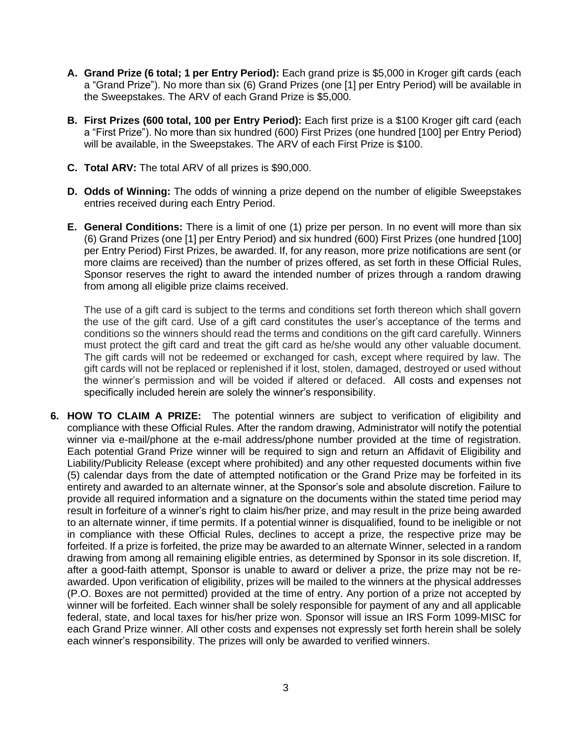- **A. Grand Prize (6 total; 1 per Entry Period):** Each grand prize is \$5,000 in Kroger gift cards (each a "Grand Prize"). No more than six (6) Grand Prizes (one [1] per Entry Period) will be available in the Sweepstakes. The ARV of each Grand Prize is \$5,000.
- **B. First Prizes (600 total, 100 per Entry Period):** Each first prize is a \$100 Kroger gift card (each a "First Prize"). No more than six hundred (600) First Prizes (one hundred [100] per Entry Period) will be available, in the Sweepstakes. The ARV of each First Prize is \$100.
- **C. Total ARV:** The total ARV of all prizes is \$90,000.
- **D. Odds of Winning:** The odds of winning a prize depend on the number of eligible Sweepstakes entries received during each Entry Period.
- **E. General Conditions:** There is a limit of one (1) prize per person. In no event will more than six (6) Grand Prizes (one [1] per Entry Period) and six hundred (600) First Prizes (one hundred [100] per Entry Period) First Prizes, be awarded. If, for any reason, more prize notifications are sent (or more claims are received) than the number of prizes offered, as set forth in these Official Rules, Sponsor reserves the right to award the intended number of prizes through a random drawing from among all eligible prize claims received.

The use of a gift card is subject to the terms and conditions set forth thereon which shall govern the use of the gift card. Use of a gift card constitutes the user's acceptance of the terms and conditions so the winners should read the terms and conditions on the gift card carefully. Winners must protect the gift card and treat the gift card as he/she would any other valuable document. The gift cards will not be redeemed or exchanged for cash, except where required by law. The gift cards will not be replaced or replenished if it lost, stolen, damaged, destroyed or used without the winner's permission and will be voided if altered or defaced.All costs and expenses not specifically included herein are solely the winner's responsibility.

**6. HOW TO CLAIM A PRIZE:** The potential winners are subject to verification of eligibility and compliance with these Official Rules. After the random drawing, Administrator will notify the potential winner via e-mail/phone at the e-mail address/phone number provided at the time of registration. Each potential Grand Prize winner will be required to sign and return an Affidavit of Eligibility and Liability/Publicity Release (except where prohibited) and any other requested documents within five (5) calendar days from the date of attempted notification or the Grand Prize may be forfeited in its entirety and awarded to an alternate winner, at the Sponsor's sole and absolute discretion. Failure to provide all required information and a signature on the documents within the stated time period may result in forfeiture of a winner's right to claim his/her prize, and may result in the prize being awarded to an alternate winner, if time permits. If a potential winner is disqualified, found to be ineligible or not in compliance with these Official Rules, declines to accept a prize, the respective prize may be forfeited. If a prize is forfeited, the prize may be awarded to an alternate Winner, selected in a random drawing from among all remaining eligible entries, as determined by Sponsor in its sole discretion. If, after a good-faith attempt, Sponsor is unable to award or deliver a prize, the prize may not be reawarded. Upon verification of eligibility, prizes will be mailed to the winners at the physical addresses (P.O. Boxes are not permitted) provided at the time of entry. Any portion of a prize not accepted by winner will be forfeited. Each winner shall be solely responsible for payment of any and all applicable federal, state, and local taxes for his/her prize won. Sponsor will issue an IRS Form 1099-MISC for each Grand Prize winner. All other costs and expenses not expressly set forth herein shall be solely each winner's responsibility. The prizes will only be awarded to verified winners.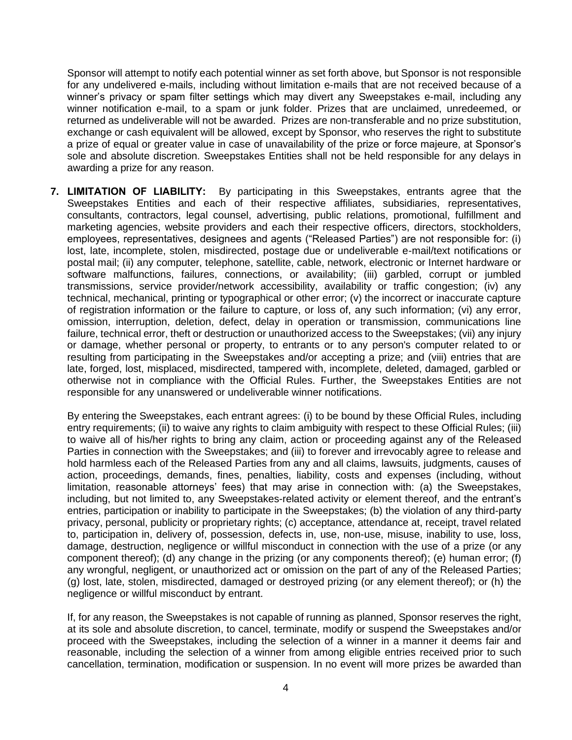Sponsor will attempt to notify each potential winner as set forth above, but Sponsor is not responsible for any undelivered e-mails, including without limitation e-mails that are not received because of a winner's privacy or spam filter settings which may divert any Sweepstakes e-mail, including any winner notification e-mail, to a spam or junk folder. Prizes that are unclaimed, unredeemed, or returned as undeliverable will not be awarded. Prizes are non-transferable and no prize substitution, exchange or cash equivalent will be allowed, except by Sponsor, who reserves the right to substitute a prize of equal or greater value in case of unavailability of the prize or force majeure, at Sponsor's sole and absolute discretion. Sweepstakes Entities shall not be held responsible for any delays in awarding a prize for any reason.

**7. LIMITATION OF LIABILITY:** By participating in this Sweepstakes, entrants agree that the Sweepstakes Entities and each of their respective affiliates, subsidiaries, representatives, consultants, contractors, legal counsel, advertising, public relations, promotional, fulfillment and marketing agencies, website providers and each their respective officers, directors, stockholders, employees, representatives, designees and agents ("Released Parties") are not responsible for: (i) lost, late, incomplete, stolen, misdirected, postage due or undeliverable e-mail/text notifications or postal mail; (ii) any computer, telephone, satellite, cable, network, electronic or Internet hardware or software malfunctions, failures, connections, or availability; (iii) garbled, corrupt or jumbled transmissions, service provider/network accessibility, availability or traffic congestion; (iv) any technical, mechanical, printing or typographical or other error; (v) the incorrect or inaccurate capture of registration information or the failure to capture, or loss of, any such information; (vi) any error, omission, interruption, deletion, defect, delay in operation or transmission, communications line failure, technical error, theft or destruction or unauthorized access to the Sweepstakes; (vii) any injury or damage, whether personal or property, to entrants or to any person's computer related to or resulting from participating in the Sweepstakes and/or accepting a prize; and (viii) entries that are late, forged, lost, misplaced, misdirected, tampered with, incomplete, deleted, damaged, garbled or otherwise not in compliance with the Official Rules. Further, the Sweepstakes Entities are not responsible for any unanswered or undeliverable winner notifications.

By entering the Sweepstakes, each entrant agrees: (i) to be bound by these Official Rules, including entry requirements; (ii) to waive any rights to claim ambiguity with respect to these Official Rules; (iii) to waive all of his/her rights to bring any claim, action or proceeding against any of the Released Parties in connection with the Sweepstakes; and (iii) to forever and irrevocably agree to release and hold harmless each of the Released Parties from any and all claims, lawsuits, judgments, causes of action, proceedings, demands, fines, penalties, liability, costs and expenses (including, without limitation, reasonable attorneys' fees) that may arise in connection with: (a) the Sweepstakes, including, but not limited to, any Sweepstakes-related activity or element thereof, and the entrant's entries, participation or inability to participate in the Sweepstakes; (b) the violation of any third-party privacy, personal, publicity or proprietary rights; (c) acceptance, attendance at, receipt, travel related to, participation in, delivery of, possession, defects in, use, non-use, misuse, inability to use, loss, damage, destruction, negligence or willful misconduct in connection with the use of a prize (or any component thereof); (d) any change in the prizing (or any components thereof); (e) human error; (f) any wrongful, negligent, or unauthorized act or omission on the part of any of the Released Parties; (g) lost, late, stolen, misdirected, damaged or destroyed prizing (or any element thereof); or (h) the negligence or willful misconduct by entrant.

If, for any reason, the Sweepstakes is not capable of running as planned, Sponsor reserves the right, at its sole and absolute discretion, to cancel, terminate, modify or suspend the Sweepstakes and/or proceed with the Sweepstakes, including the selection of a winner in a manner it deems fair and reasonable, including the selection of a winner from among eligible entries received prior to such cancellation, termination, modification or suspension. In no event will more prizes be awarded than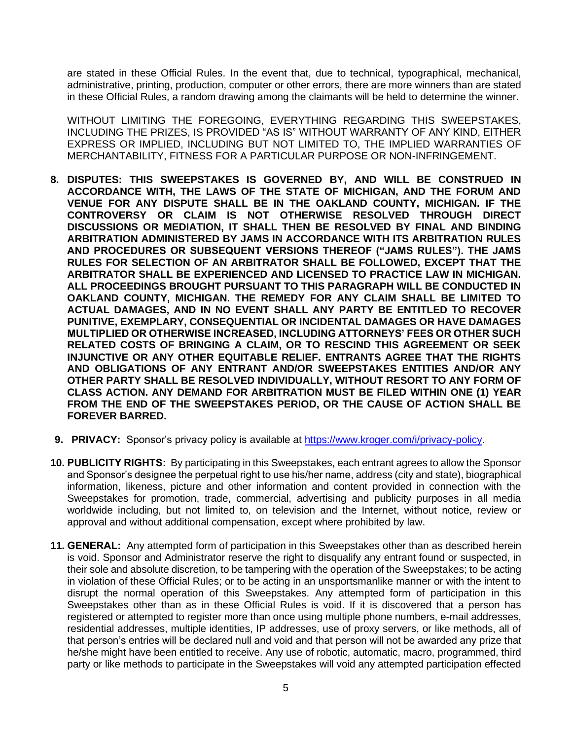are stated in these Official Rules. In the event that, due to technical, typographical, mechanical, administrative, printing, production, computer or other errors, there are more winners than are stated in these Official Rules, a random drawing among the claimants will be held to determine the winner.

WITHOUT LIMITING THE FOREGOING, EVERYTHING REGARDING THIS SWEEPSTAKES, INCLUDING THE PRIZES, IS PROVIDED "AS IS" WITHOUT WARRANTY OF ANY KIND, EITHER EXPRESS OR IMPLIED, INCLUDING BUT NOT LIMITED TO, THE IMPLIED WARRANTIES OF MERCHANTABILITY, FITNESS FOR A PARTICULAR PURPOSE OR NON-INFRINGEMENT.

- **8. DISPUTES: THIS SWEEPSTAKES IS GOVERNED BY, AND WILL BE CONSTRUED IN ACCORDANCE WITH, THE LAWS OF THE STATE OF MICHIGAN, AND THE FORUM AND VENUE FOR ANY DISPUTE SHALL BE IN THE OAKLAND COUNTY, MICHIGAN. IF THE CONTROVERSY OR CLAIM IS NOT OTHERWISE RESOLVED THROUGH DIRECT DISCUSSIONS OR MEDIATION, IT SHALL THEN BE RESOLVED BY FINAL AND BINDING ARBITRATION ADMINISTERED BY JAMS IN ACCORDANCE WITH ITS ARBITRATION RULES AND PROCEDURES OR SUBSEQUENT VERSIONS THEREOF ("JAMS RULES"). THE JAMS RULES FOR SELECTION OF AN ARBITRATOR SHALL BE FOLLOWED, EXCEPT THAT THE ARBITRATOR SHALL BE EXPERIENCED AND LICENSED TO PRACTICE LAW IN MICHIGAN. ALL PROCEEDINGS BROUGHT PURSUANT TO THIS PARAGRAPH WILL BE CONDUCTED IN OAKLAND COUNTY, MICHIGAN. THE REMEDY FOR ANY CLAIM SHALL BE LIMITED TO ACTUAL DAMAGES, AND IN NO EVENT SHALL ANY PARTY BE ENTITLED TO RECOVER PUNITIVE, EXEMPLARY, CONSEQUENTIAL OR INCIDENTAL DAMAGES OR HAVE DAMAGES MULTIPLIED OR OTHERWISE INCREASED, INCLUDING ATTORNEYS' FEES OR OTHER SUCH RELATED COSTS OF BRINGING A CLAIM, OR TO RESCIND THIS AGREEMENT OR SEEK INJUNCTIVE OR ANY OTHER EQUITABLE RELIEF. ENTRANTS AGREE THAT THE RIGHTS AND OBLIGATIONS OF ANY ENTRANT AND/OR SWEEPSTAKES ENTITIES AND/OR ANY OTHER PARTY SHALL BE RESOLVED INDIVIDUALLY, WITHOUT RESORT TO ANY FORM OF CLASS ACTION. ANY DEMAND FOR ARBITRATION MUST BE FILED WITHIN ONE (1) YEAR FROM THE END OF THE SWEEPSTAKES PERIOD, OR THE CAUSE OF ACTION SHALL BE FOREVER BARRED.**
- **9. PRIVACY:** Sponsor's privacy policy is available at [https://www.kroger.com/i/privacy-policy.](https://www.kroger.com/i/privacy-policy)
- **10. PUBLICITY RIGHTS:** By participating in this Sweepstakes, each entrant agrees to allow the Sponsor and Sponsor's designee the perpetual right to use his/her name, address (city and state), biographical information, likeness, picture and other information and content provided in connection with the Sweepstakes for promotion, trade, commercial, advertising and publicity purposes in all media worldwide including, but not limited to, on television and the Internet, without notice, review or approval and without additional compensation, except where prohibited by law.
- **11. GENERAL:** Any attempted form of participation in this Sweepstakes other than as described herein is void. Sponsor and Administrator reserve the right to disqualify any entrant found or suspected, in their sole and absolute discretion, to be tampering with the operation of the Sweepstakes; to be acting in violation of these Official Rules; or to be acting in an unsportsmanlike manner or with the intent to disrupt the normal operation of this Sweepstakes. Any attempted form of participation in this Sweepstakes other than as in these Official Rules is void. If it is discovered that a person has registered or attempted to register more than once using multiple phone numbers, e-mail addresses, residential addresses, multiple identities, IP addresses, use of proxy servers, or like methods, all of that person's entries will be declared null and void and that person will not be awarded any prize that he/she might have been entitled to receive. Any use of robotic, automatic, macro, programmed, third party or like methods to participate in the Sweepstakes will void any attempted participation effected